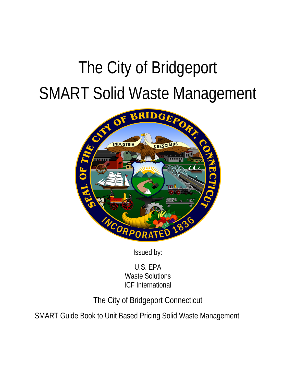# The City of Bridgeport SMART Solid Waste Management



Issued by:

U.S. EPA Waste Solutions ICF International

The City of Bridgeport Connecticut

SMART Guide Book to Unit Based Pricing Solid Waste Management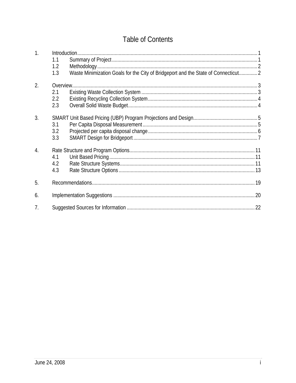# **Table of Contents**

| 1 <sub>1</sub>   | 1.1<br>1.2<br>1.3 | Waste Minimization Goals for the City of Bridgeport and the State of Connecticut 2 |  |
|------------------|-------------------|------------------------------------------------------------------------------------|--|
| $\overline{2}$ . |                   |                                                                                    |  |
|                  | 2.1               |                                                                                    |  |
|                  | 2.2               |                                                                                    |  |
|                  | 2.3               |                                                                                    |  |
| 3.               | 3.1<br>3.2<br>3.3 |                                                                                    |  |
| $\overline{4}$ . | 4.1<br>4.2<br>4.3 |                                                                                    |  |
| 5.               |                   |                                                                                    |  |
| 6.               |                   |                                                                                    |  |
| 7.               |                   |                                                                                    |  |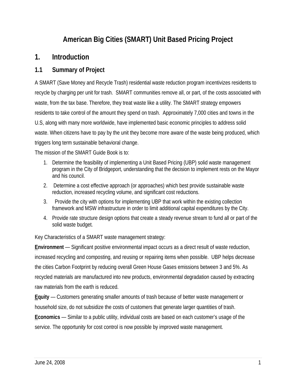# **American Big Cities (SMART) Unit Based Pricing Project**

## **1. Introduction**

### **1.1 Summary of Project**

A SMART (Save Money and Recycle Trash) residential waste reduction program incentivizes residents to recycle by charging per unit for trash. SMART communities remove all, or part, of the costs associated with waste, from the tax base. Therefore, they treat waste like a utility. The SMART strategy empowers residents to take control of the amount they spend on trash. Approximately 7,000 cities and towns in the U.S, along with many more worldwide, have implemented basic economic principles to address solid waste. When citizens have to pay by the unit they become more aware of the waste being produced, which triggers long term sustainable behavioral change.

The mission of the SMART Guide Book is to:

- 1. Determine the feasibility of implementing a Unit Based Pricing (UBP) solid waste management program in the City of Bridgeport, understanding that the decision to implement rests on the Mayor and his council.
- 2. Determine a cost effective approach (or approaches) which best provide sustainable waste reduction, increased recycling volume, and significant cost reductions.
- 3. Provide the city with options for implementing UBP that work within the existing collection framework and MSW infrastructure in order to limit additional capital expenditures by the City.
- 4. Provide rate structure design options that create a steady revenue stream to fund all or part of the solid waste budget.

Key Characteristics of a SMART waste management strategy:

**Environment** — Significant positive environmental impact occurs as a direct result of waste reduction, increased recycling and composting, and reusing or repairing items when possible. UBP helps decrease the cities Carbon Footprint by reducing overall Green House Gases emissions between 3 and 5%. As recycled materials are manufactured into new products, environmental degradation caused by extracting raw materials from the earth is reduced.

**Equity** — Customers generating smaller amounts of trash because of better waste management or household size, do not subsidize the costs of customers that generate larger quantities of trash.

**Economics** — Similar to a public utility, individual costs are based on each customer's usage of the service. The opportunity for cost control is now possible by improved waste management.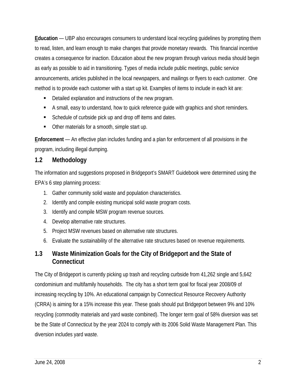**Education** — UBP also encourages consumers to understand local recycling guidelines by prompting them to read, listen, and learn enough to make changes that provide monetary rewards. This financial incentive creates a consequence for inaction. Education about the new program through various media should begin as early as possible to aid in transitioning. Types of media include public meetings, public service announcements, articles published in the local newspapers, and mailings or flyers to each customer. One method is to provide each customer with a start up kit. Examples of items to include in each kit are:

- Detailed explanation and instructions of the new program.
- A small, easy to understand, how to quick reference guide with graphics and short reminders.
- Schedule of curbside pick up and drop off items and dates.
- Other materials for a smooth, simple start up.

**Enforcement** — An effective plan includes funding and a plan for enforcement of all provisions in the program, including illegal dumping.

#### **1.2 Methodology**

The information and suggestions proposed in Bridgeport's SMART Guidebook were determined using the EPA's 6 step planning process:

- 1. Gather community solid waste and population characteristics.
- 2. Identify and compile existing municipal solid waste program costs.
- 3. Identify and compile MSW program revenue sources.
- 4. Develop alternative rate structures.
- 5. Project MSW revenues based on alternative rate structures.
- 6. Evaluate the sustainability of the alternative rate structures based on revenue requirements.

## **1.3 Waste Minimization Goals for the City of Bridgeport and the State of Connecticut**

The City of Bridgeport is currently picking up trash and recycling curbside from 41,262 single and 5,642 condominium and multifamily households. The city has a short term goal for fiscal year 2008/09 of increasing recycling by 10%. An educational campaign by Connecticut Resource Recovery Authority (CRRA) is aiming for a 15% increase this year. These goals should put Bridgeport between 9% and 10% recycling (commodity materials and yard waste combined). The longer term goal of 58% diversion was set be the State of Connecticut by the year 2024 to comply with its 2006 Solid Waste Management Plan. This diversion includes yard waste.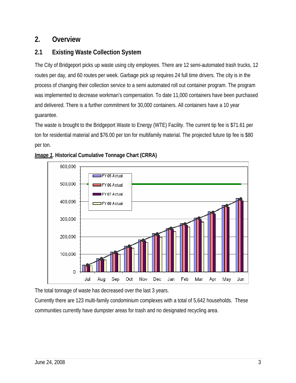# **2. Overview**

# **2.1 Existing Waste Collection System**

The City of Bridgeport picks up waste using city employees. There are 12 semi-automated trash trucks, 12 routes per day, and 60 routes per week. Garbage pick up requires 24 full time drivers. The city is in the process of changing their collection service to a semi automated roll out container program. The program was implemented to decrease workman's compensation. To date 11,000 containers have been purchased and delivered. There is a further commitment for 30,000 containers. All containers have a 10 year guarantee.

The waste is brought to the Bridgeport Waste to Energy (WTE) Facility. The current tip fee is \$71.61 per ton for residential material and \$76.00 per ton for multifamily material. The projected future tip fee is \$80 per ton.





The total tonnage of waste has decreased over the last 3 years.

Currently there are 123 multi-family condominium complexes with a total of 5,642 households. These communities currently have dumpster areas for trash and no designated recycling area.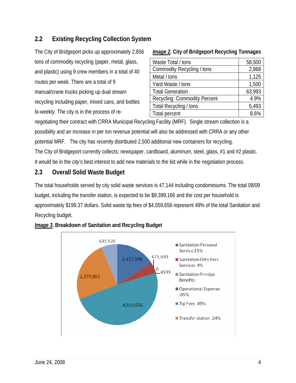## **2.2 Existing Recycling Collection System**

| The City of Bridgeport picks up approximately 2,856 |
|-----------------------------------------------------|
| tons of commodity recycling (paper, metal, glass,   |
| and plastic) using 9 crew members in a total of 40  |
| routes per week. There are a total of 9             |
| manual/crane trucks picking up dual stream          |
| recycling including paper, mixed cans, and bottles  |
| bi-weekly. The city is in the process of re-        |

#### *Image 2.* **City of Bridgeport Recycling Tonnages**

| Waste Total / tons                 | 58,500 |
|------------------------------------|--------|
| Commodity Recycling / tons         | 2,868  |
| Metal / tons                       | 1,125  |
| Yard Waste / tons                  | 1,500  |
| <b>Total Generation</b>            | 63,993 |
| <b>Recycling Commodity Percent</b> | 4.9%   |
| Total Recycling / tons             | 5,493  |
| Total percent                      | 8.6%   |

negotiating their contract with CRRA Municipal Recycling Facility (MRF). Single stream collection is a possibility and an increase in per ton revenue potential will also be addressed with CRRA or any other potential MRF. The city has recently distributed 2,500 additional new containers for recycling. The City of Bridgeport currently collects: newspaper, cardboard, aluminum, steel, glass, #1 and #2 plastic. It would be in the city's best interest to add new materials to the list while in the negotiation process.

## **2.3 Overall Solid Waste Budget**

The total households served by city solid waste services is 47,144 including condominiums. The total 08/09 budget, including the transfer station, is expected to be \$9,399,166 and the cost per household is approximately \$199.37 dollars. Solid waste tip fees of \$4,559,656 represent 49% of the total Sanitation and Recycling budget.



#### *Image 3***. Breakdown of Sanitation and Recycling Budget**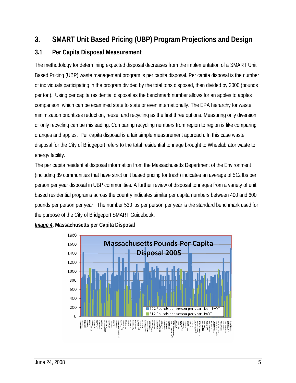# **3. SMART Unit Based Pricing (UBP) Program Projections and Design**

## **3.1 Per Capita Disposal Measurement**

The methodology for determining expected disposal decreases from the implementation of a SMART Unit Based Pricing (UBP) waste management program is per capita disposal. Per capita disposal is the number of individuals participating in the program divided by the total tons disposed, then divided by 2000 (pounds per ton). Using per capita residential disposal as the benchmark number allows for an apples to apples comparison, which can be examined state to state or even internationally. The EPA hierarchy for waste minimization prioritizes reduction, reuse, and recycling as the first three options. Measuring only diversion or only recycling can be misleading. Comparing recycling numbers from region to region is like comparing oranges and apples. Per capita disposal is a fair simple measurement approach. In this case waste disposal for the City of Bridgeport refers to the total residential tonnage brought to Wheelabrator waste to energy facility.

The per capita residential disposal information from the Massachusetts Department of the Environment (including 89 communities that have strict unit based pricing for trash) indicates an average of 512 lbs per person per year disposal in UBP communities. A further review of disposal tonnages from a variety of unit based residential programs across the country indicates similar per capita numbers between 400 and 600 pounds per person per year. The number 530 lbs per person per year is the standard benchmark used for the purpose of the City of Bridgeport SMART Guidebook.



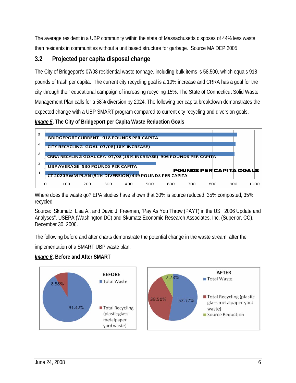The average resident in a UBP community within the state of Massachusetts disposes of 44% less waste than residents in communities without a unit based structure for garbage. Source MA DEP 2005

## **3.2 Projected per capita disposal change**

The City of Bridgeport's 07/08 residential waste tonnage, including bulk items is 58,500, which equals 918 pounds of trash per capita. The current city recycling goal is a 10% increase and CRRA has a goal for the city through their educational campaign of increasing recycling 15%. The State of Connecticut Solid Waste Management Plan calls for a 58% diversion by 2024. The following per capita breakdown demonstrates the expected change with a UBP SMART program compared to current city recycling and diversion goals.

*Image 5***. The City of Bridgeport per Capita Waste Reduction Goals**



Where does the waste go? EPA studies have shown that 30% is source reduced, 35% composted, 35% recycled.

Source: Skumatz, Lisa A., and David J. Freeman, "Pay As You Throw (PAYT) in the US: 2006 Update and Analyses", USEPA (Washington DC) and Skumatz Economic Research Associates, Inc. (Superior, CO), December 30, 2006.

The following before and after charts demonstrate the potential change in the waste stream, after the

implementation of a SMART UBP waste plan.

#### *Image 6***. Before and After SMART**

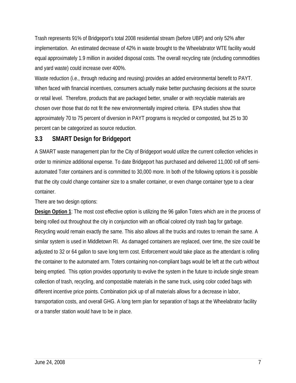Trash represents 91% of Bridgeport's total 2008 residential stream (before UBP) and only 52% after implementation. An estimated decrease of 42% in waste brought to the Wheelabrator WTE facility would equal approximately 1.9 million in avoided disposal costs. The overall recycling rate (including commodities and yard waste) could increase over 400%.

Waste reduction (i.e., through reducing and reusing) provides an added environmental benefit to PAYT. When faced with financial incentives, consumers actually make better purchasing decisions at the source or retail level. Therefore, products that are packaged better, smaller or with recyclable materials are chosen over those that do not fit the new environmentally inspired criteria. EPA studies show that approximately 70 to 75 percent of diversion in PAYT programs is recycled or composted, but 25 to 30 percent can be categorized as source reduction.

## **3.3 SMART Design for Bridgeport**

A SMART waste management plan for the City of Bridgeport would utilize the current collection vehicles in order to minimize additional expense. To date Bridgeport has purchased and delivered 11,000 roll off semiautomated Toter containers and is committed to 30,000 more. In both of the following options it is possible that the city could change container size to a smaller container, or even change container type to a clear container.

There are two design options:

**Design Option 1**: The most cost effective option is utilizing the 96 gallon Toters which are in the process of being rolled out throughout the city in conjunction with an official colored city trash bag for garbage. Recycling would remain exactly the same. This also allows all the trucks and routes to remain the same. A similar system is used in Middletown RI. As damaged containers are replaced, over time, the size could be adjusted to 32 or 64 gallon to save long term cost. Enforcement would take place as the attendant is rolling the container to the automated arm. Toters containing non-compliant bags would be left at the curb without being emptied. This option provides opportunity to evolve the system in the future to include single stream collection of trash, recycling, and compostable materials in the same truck, using color coded bags with different incentive price points. Combination pick up of all materials allows for a decrease in labor, transportation costs, and overall GHG. A long term plan for separation of bags at the Wheelabrator facility or a transfer station would have to be in place.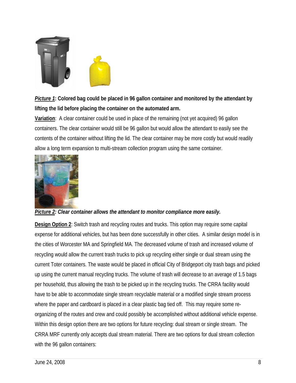

# *Picture 1***: Colored bag could be placed in 96 gallon container and monitored by the attendant by lifting the lid before placing the container on the automated arm.**

**Variation**: A clear container could be used in place of the remaining (not yet acquired) 96 gallon containers. The clear container would still be 96 gallon but would allow the attendant to easily see the contents of the container without lifting the lid. The clear container may be more costly but would readily allow a long term expansion to multi-stream collection program using the same container.



#### *Picture 2: Clear container allows the attendant to monitor compliance more easily.*

**Design Option 2**: Switch trash and recycling routes and trucks. This option may require some capital expense for additional vehicles, but has been done successfully in other cities. A similar design model is in the cities of Worcester MA and Springfield MA. The decreased volume of trash and increased volume of recycling would allow the current trash trucks to pick up recycling either single or dual stream using the current Toter containers. The waste would be placed in official City of Bridgeport city trash bags and picked up using the current manual recycling trucks. The volume of trash will decrease to an average of 1.5 bags per household, thus allowing the trash to be picked up in the recycling trucks. The CRRA facility would have to be able to accommodate single stream recyclable material or a modified single stream process where the paper and cardboard is placed in a clear plastic bag tied off. This may require some reorganizing of the routes and crew and could possibly be accomplished without additional vehicle expense. Within this design option there are two options for future recycling: dual stream or single stream. The CRRA MRF currently only accepts dual stream material. There are two options for dual stream collection with the 96 gallon containers: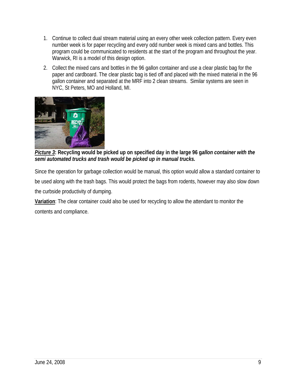- 1. Continue to collect dual stream material using an every other week collection pattern. Every even number week is for paper recycling and every odd number week is mixed cans and bottles. This program could be communicated to residents at the start of the program and throughout the year. Warwick, RI is a model of this design option.
- 2. Collect the mixed cans and bottles in the 96 gallon container and use a clear plastic bag for the paper and cardboard. The clear plastic bag is tied off and placed with the mixed material in the 96 gallon container and separated at the MRF into 2 clean streams. Similar systems are seen in NYC, St Peters, MO and Holland, MI.



*Picture 3***: Recycling would be picked up on specified day in the large 96 g***allon container with the semi automated trucks and trash would be picked up in manual trucks.* 

Since the operation for garbage collection would be manual, this option would allow a standard container to be used along with the trash bags. This would protect the bags from rodents, however may also slow down the curbside productivity of dumping.

**Variation**: The clear container could also be used for recycling to allow the attendant to monitor the contents and compliance.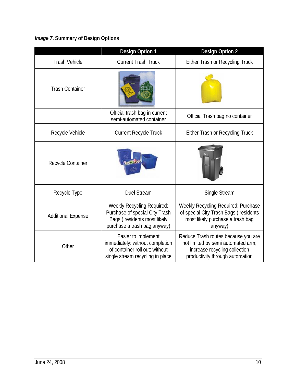# *Image 7***. Summary of Design Options**

|                           | <b>Design Option 1</b>                                                                                                       | <b>Design Option 2</b>                                                                                                                        |  |  |  |  |
|---------------------------|------------------------------------------------------------------------------------------------------------------------------|-----------------------------------------------------------------------------------------------------------------------------------------------|--|--|--|--|
| <b>Trash Vehicle</b>      | <b>Current Trash Truck</b>                                                                                                   | Either Trash or Recycling Truck                                                                                                               |  |  |  |  |
| <b>Trash Container</b>    |                                                                                                                              |                                                                                                                                               |  |  |  |  |
|                           | Official trash bag in current<br>semi-automated container                                                                    | Official Trash bag no container                                                                                                               |  |  |  |  |
| Recycle Vehicle           | <b>Current Recycle Truck</b>                                                                                                 | Either Trash or Recycling Truck                                                                                                               |  |  |  |  |
| Recycle Container         |                                                                                                                              |                                                                                                                                               |  |  |  |  |
| Recycle Type              | <b>Duel Stream</b>                                                                                                           | Single Stream                                                                                                                                 |  |  |  |  |
| <b>Additional Expense</b> | Weekly Recycling Required;<br>Purchase of special City Trash<br>Bags (residents most likely<br>purchase a trash bag anyway)  | Weekly Recycling Required; Purchase<br>of special City Trash Bags (residents<br>most likely purchase a trash bag<br>anyway)                   |  |  |  |  |
| Other                     | Easier to implement<br>immediately: without completion<br>of container roll out; without<br>single stream recycling in place | Reduce Trash routes because you are<br>not limited by semi automated arm;<br>increase recycling collection<br>productivity through automation |  |  |  |  |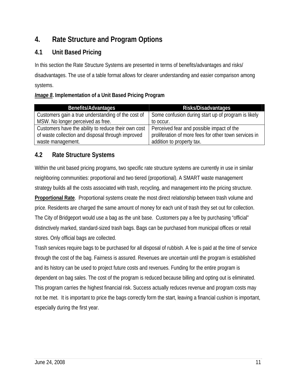# **4. Rate Structure and Program Options**

## **4.1 Unit Based Pricing**

In this section the Rate Structure Systems are presented in terms of benefits/advantages and risks/ disadvantages. The use of a table format allows for clearer understanding and easier comparison among systems.

#### *Image 8***. Implementation of a Unit Based Pricing Program**

| <b>Benefits/Advantages</b>                          | Risks/Disadvantages                                   |
|-----------------------------------------------------|-------------------------------------------------------|
| Customers gain a true understanding of the cost of  | Some confusion during start up of program is likely   |
| MSW. No longer perceived as free.                   | to occur.                                             |
| Customers have the ability to reduce their own cost | Perceived fear and possible impact of the             |
| of waste collection and disposal through improved   | proliferation of more fees for other town services in |
| waste management.                                   | addition to property tax.                             |

## **4.2 Rate Structure Systems**

Within the unit based pricing programs, two specific rate structure systems are currently in use in similar neighboring communities: proportional and two tiered (proportional). A SMART waste management strategy builds all the costs associated with trash, recycling, and management into the pricing structure. **Proportional Rate**. Proportional systems create the most direct relationship between trash volume and price. Residents are charged the same amount of money for each unit of trash they set out for collection. The City of Bridgeport would use a bag as the unit base. Customers pay a fee by purchasing "official" distinctively marked, standard-sized trash bags. Bags can be purchased from municipal offices or retail stores. Only official bags are collected.

Trash services require bags to be purchased for all disposal of rubbish. A fee is paid at the time of service through the cost of the bag. Fairness is assured. Revenues are uncertain until the program is established and its history can be used to project future costs and revenues. Funding for the entire program is dependent on bag sales. The cost of the program is reduced because billing and opting out is eliminated. This program carries the highest financial risk. Success actually reduces revenue and program costs may not be met. It is important to price the bags correctly form the start, leaving a financial cushion is important, especially during the first year.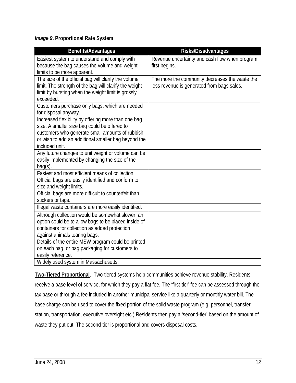#### *Image 9***. Proportional Rate System**

| <b>Benefits/Advantages</b>                                                                                                                                                                                                                                                                                                                                                                                                                                                                                                                                                                                                                                                                                                                                                                                                                                                                                                                                                                                                                                                                                                                                                                                                                                                                      | Risks/Disadvantages                            |
|-------------------------------------------------------------------------------------------------------------------------------------------------------------------------------------------------------------------------------------------------------------------------------------------------------------------------------------------------------------------------------------------------------------------------------------------------------------------------------------------------------------------------------------------------------------------------------------------------------------------------------------------------------------------------------------------------------------------------------------------------------------------------------------------------------------------------------------------------------------------------------------------------------------------------------------------------------------------------------------------------------------------------------------------------------------------------------------------------------------------------------------------------------------------------------------------------------------------------------------------------------------------------------------------------|------------------------------------------------|
| Easiest system to understand and comply with                                                                                                                                                                                                                                                                                                                                                                                                                                                                                                                                                                                                                                                                                                                                                                                                                                                                                                                                                                                                                                                                                                                                                                                                                                                    | Revenue uncertainty and cash flow when program |
| because the bag causes the volume and weight                                                                                                                                                                                                                                                                                                                                                                                                                                                                                                                                                                                                                                                                                                                                                                                                                                                                                                                                                                                                                                                                                                                                                                                                                                                    | first begins.                                  |
|                                                                                                                                                                                                                                                                                                                                                                                                                                                                                                                                                                                                                                                                                                                                                                                                                                                                                                                                                                                                                                                                                                                                                                                                                                                                                                 |                                                |
|                                                                                                                                                                                                                                                                                                                                                                                                                                                                                                                                                                                                                                                                                                                                                                                                                                                                                                                                                                                                                                                                                                                                                                                                                                                                                                 | The more the community decreases the waste the |
|                                                                                                                                                                                                                                                                                                                                                                                                                                                                                                                                                                                                                                                                                                                                                                                                                                                                                                                                                                                                                                                                                                                                                                                                                                                                                                 |                                                |
|                                                                                                                                                                                                                                                                                                                                                                                                                                                                                                                                                                                                                                                                                                                                                                                                                                                                                                                                                                                                                                                                                                                                                                                                                                                                                                 |                                                |
|                                                                                                                                                                                                                                                                                                                                                                                                                                                                                                                                                                                                                                                                                                                                                                                                                                                                                                                                                                                                                                                                                                                                                                                                                                                                                                 |                                                |
|                                                                                                                                                                                                                                                                                                                                                                                                                                                                                                                                                                                                                                                                                                                                                                                                                                                                                                                                                                                                                                                                                                                                                                                                                                                                                                 |                                                |
|                                                                                                                                                                                                                                                                                                                                                                                                                                                                                                                                                                                                                                                                                                                                                                                                                                                                                                                                                                                                                                                                                                                                                                                                                                                                                                 |                                                |
|                                                                                                                                                                                                                                                                                                                                                                                                                                                                                                                                                                                                                                                                                                                                                                                                                                                                                                                                                                                                                                                                                                                                                                                                                                                                                                 |                                                |
|                                                                                                                                                                                                                                                                                                                                                                                                                                                                                                                                                                                                                                                                                                                                                                                                                                                                                                                                                                                                                                                                                                                                                                                                                                                                                                 |                                                |
|                                                                                                                                                                                                                                                                                                                                                                                                                                                                                                                                                                                                                                                                                                                                                                                                                                                                                                                                                                                                                                                                                                                                                                                                                                                                                                 |                                                |
|                                                                                                                                                                                                                                                                                                                                                                                                                                                                                                                                                                                                                                                                                                                                                                                                                                                                                                                                                                                                                                                                                                                                                                                                                                                                                                 |                                                |
|                                                                                                                                                                                                                                                                                                                                                                                                                                                                                                                                                                                                                                                                                                                                                                                                                                                                                                                                                                                                                                                                                                                                                                                                                                                                                                 |                                                |
|                                                                                                                                                                                                                                                                                                                                                                                                                                                                                                                                                                                                                                                                                                                                                                                                                                                                                                                                                                                                                                                                                                                                                                                                                                                                                                 |                                                |
|                                                                                                                                                                                                                                                                                                                                                                                                                                                                                                                                                                                                                                                                                                                                                                                                                                                                                                                                                                                                                                                                                                                                                                                                                                                                                                 |                                                |
|                                                                                                                                                                                                                                                                                                                                                                                                                                                                                                                                                                                                                                                                                                                                                                                                                                                                                                                                                                                                                                                                                                                                                                                                                                                                                                 |                                                |
|                                                                                                                                                                                                                                                                                                                                                                                                                                                                                                                                                                                                                                                                                                                                                                                                                                                                                                                                                                                                                                                                                                                                                                                                                                                                                                 |                                                |
|                                                                                                                                                                                                                                                                                                                                                                                                                                                                                                                                                                                                                                                                                                                                                                                                                                                                                                                                                                                                                                                                                                                                                                                                                                                                                                 |                                                |
|                                                                                                                                                                                                                                                                                                                                                                                                                                                                                                                                                                                                                                                                                                                                                                                                                                                                                                                                                                                                                                                                                                                                                                                                                                                                                                 |                                                |
|                                                                                                                                                                                                                                                                                                                                                                                                                                                                                                                                                                                                                                                                                                                                                                                                                                                                                                                                                                                                                                                                                                                                                                                                                                                                                                 |                                                |
|                                                                                                                                                                                                                                                                                                                                                                                                                                                                                                                                                                                                                                                                                                                                                                                                                                                                                                                                                                                                                                                                                                                                                                                                                                                                                                 |                                                |
|                                                                                                                                                                                                                                                                                                                                                                                                                                                                                                                                                                                                                                                                                                                                                                                                                                                                                                                                                                                                                                                                                                                                                                                                                                                                                                 |                                                |
|                                                                                                                                                                                                                                                                                                                                                                                                                                                                                                                                                                                                                                                                                                                                                                                                                                                                                                                                                                                                                                                                                                                                                                                                                                                                                                 |                                                |
|                                                                                                                                                                                                                                                                                                                                                                                                                                                                                                                                                                                                                                                                                                                                                                                                                                                                                                                                                                                                                                                                                                                                                                                                                                                                                                 |                                                |
|                                                                                                                                                                                                                                                                                                                                                                                                                                                                                                                                                                                                                                                                                                                                                                                                                                                                                                                                                                                                                                                                                                                                                                                                                                                                                                 |                                                |
|                                                                                                                                                                                                                                                                                                                                                                                                                                                                                                                                                                                                                                                                                                                                                                                                                                                                                                                                                                                                                                                                                                                                                                                                                                                                                                 |                                                |
|                                                                                                                                                                                                                                                                                                                                                                                                                                                                                                                                                                                                                                                                                                                                                                                                                                                                                                                                                                                                                                                                                                                                                                                                                                                                                                 |                                                |
|                                                                                                                                                                                                                                                                                                                                                                                                                                                                                                                                                                                                                                                                                                                                                                                                                                                                                                                                                                                                                                                                                                                                                                                                                                                                                                 |                                                |
|                                                                                                                                                                                                                                                                                                                                                                                                                                                                                                                                                                                                                                                                                                                                                                                                                                                                                                                                                                                                                                                                                                                                                                                                                                                                                                 |                                                |
| limits to be more apparent.<br>The size of the official bag will clarify the volume<br>limit. The strength of the bag will clarify the weight<br>limit by bursting when the weight limit is grossly<br>exceeded.<br>Customers purchase only bags, which are needed<br>for disposal anyway.<br>Increased flexibility by offering more than one bag<br>size. A smaller size bag could be offered to<br>customers who generate small amounts of rubbish<br>or wish to add an additional smaller bag beyond the<br>included unit.<br>Any future changes to unit weight or volume can be<br>easily implemented by changing the size of the<br>$bag(s)$ .<br>Fastest and most efficient means of collection.<br>Official bags are easily identified and conform to<br>size and weight limits.<br>Official bags are more difficult to counterfeit than<br>stickers or tags.<br>Illegal waste containers are more easily identified.<br>Although collection would be somewhat slower, an<br>option could be to allow bags to be placed inside of<br>containers for collection as added protection<br>against animals tearing bags.<br>Details of the entire MSW program could be printed<br>on each bag, or bag packaging for customers to<br>easily reference.<br>Widely used system in Massachusetts. | less revenue is generated from bags sales.     |

**Two-Tiered Proportional**. Two-tiered systems help communities achieve revenue stability. Residents receive a base level of service, for which they pay a flat fee. The 'first-tier' fee can be assessed through the tax base or through a fee included in another municipal service like a quarterly or monthly water bill. The base charge can be used to cover the fixed portion of the solid waste program (e.g. personnel, transfer station, transportation, executive oversight etc.) Residents then pay a 'second-tier' based on the amount of waste they put out. The second-tier is proportional and covers disposal costs.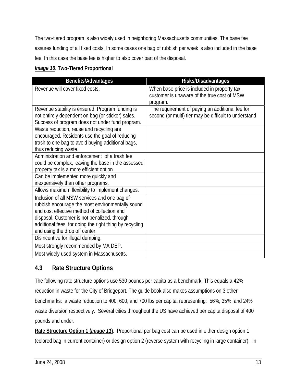The two-tiered program is also widely used in neighboring Massachusetts communities. The base fee assures funding of all fixed costs. In some cases one bag of rubbish per week is also included in the base fee. In this case the base fee is higher to also cover part of the disposal.

#### *Image 10***. Two-Tiered Proportional**

| <b>Benefits/Advantages</b>                                                                           | Risks/Disadvantages                                                                         |
|------------------------------------------------------------------------------------------------------|---------------------------------------------------------------------------------------------|
| Revenue will cover fixed costs.                                                                      | When base price is included in property tax,<br>customer is unaware of the true cost of MSW |
|                                                                                                      | program.                                                                                    |
| Revenue stability is ensured. Program funding is                                                     | The requirement of paying an additional fee for                                             |
| not entirely dependent on bag (or sticker) sales.<br>Success of program does not under fund program. | second (or multi) tier may be difficult to understand                                       |
| Waste reduction, reuse and recycling are                                                             |                                                                                             |
| encouraged. Residents use the goal of reducing                                                       |                                                                                             |
| trash to one bag to avoid buying additional bags,                                                    |                                                                                             |
| thus reducing waste.                                                                                 |                                                                                             |
| Administration and enforcement of a trash fee                                                        |                                                                                             |
| could be complex, leaving the base in the assessed<br>property tax is a more efficient option        |                                                                                             |
| Can be implemented more quickly and                                                                  |                                                                                             |
| inexpensively than other programs.                                                                   |                                                                                             |
| Allows maximum flexibility to implement changes.                                                     |                                                                                             |
| Inclusion of all MSW services and one bag of                                                         |                                                                                             |
| rubbish encourage the most environmentally sound                                                     |                                                                                             |
| and cost effective method of collection and<br>disposal. Customer is not penalized, through          |                                                                                             |
| additional fees, for doing the right thing by recycling                                              |                                                                                             |
| and using the drop off center.                                                                       |                                                                                             |
| Disincentive for illegal dumping.                                                                    |                                                                                             |
| Most strongly recommended by MA DEP.                                                                 |                                                                                             |
| Most widely used system in Massachusetts.                                                            |                                                                                             |

## **4.3 Rate Structure Options**

The following rate structure options use 530 pounds per capita as a benchmark. This equals a 42% reduction in waste for the City of Bridgeport. The guide book also makes assumptions on 3 other benchmarks: a waste reduction to 400, 600, and 700 lbs per capita, representing: 56%, 35%, and 24% waste diversion respectively. Several cities throughout the US have achieved per capita disposal of 400 pounds and under.

**Rate Structure Option 1 (***Image 11***)**. Proportional per bag cost can be used in either design option 1 (colored bag in current container) or design option 2 (reverse system with recycling in large container). In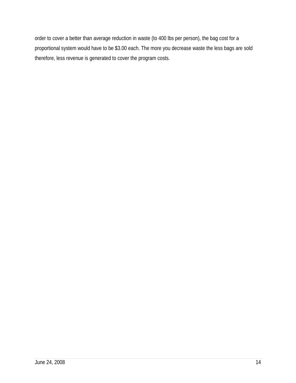order to cover a better than average reduction in waste (to 400 lbs per person), the bag cost for a proportional system would have to be \$3.00 each. The more you decrease waste the less bags are sold therefore, less revenue is generated to cover the program costs.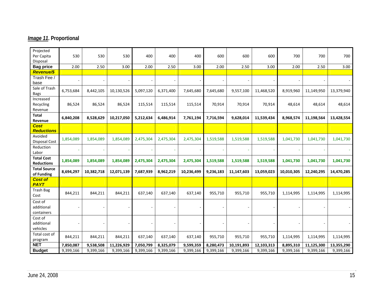# *Image 11***. Proportional**

| Projected<br>Per Capita<br>Disposal    | 530       | 530        | 530        | 400       | 400       | 400        | 600       | 600        | 600        | 700        | 700        | 700        |
|----------------------------------------|-----------|------------|------------|-----------|-----------|------------|-----------|------------|------------|------------|------------|------------|
| <b>Bag price</b>                       | 2.00      | 2.50       | 3.00       | 2.00      | 2.50      | 3.00       | 2.00      | 2.50       | 3.00       | 2.00       | 2.50       | 3.00       |
| <b>Revenue/\$</b>                      |           |            |            |           |           |            |           |            |            |            |            |            |
| Trash Fee /<br>base                    |           |            |            |           |           |            |           |            |            |            |            |            |
| Sale of Trash<br><b>Bags</b>           | 6,753,684 | 8,442,105  | 10,130,526 | 5,097,120 | 6,371,400 | 7,645,680  | 7,645,680 | 9,557,100  | 11,468,520 | 8,919,960  | 11,149,950 | 13,379,940 |
| Increased<br>Recycling<br>Revenue      | 86,524    | 86,524     | 86,524     | 115,514   | 115,514   | 115,514    | 70,914    | 70,914     | 70,914     | 48,614     | 48,614     | 48,614     |
| Total<br>Revenue                       | 6,840,208 | 8,528,629  | 10,217,050 | 5,212,634 | 6,486,914 | 7,761,194  | 7,716,594 | 9,628,014  | 11,539,434 | 8,968,574  | 11,198,564 | 13,428,554 |
| <b>Cost</b><br><b>Reductions</b>       |           |            |            |           |           |            |           |            |            |            |            |            |
| Avoided<br><b>Disposal Cost</b>        | 1,854,089 | 1,854,089  | 1,854,089  | 2,475,304 | 2,475,304 | 2,475,304  | 1,519,588 | 1,519,588  | 1,519,588  | 1,041,730  | 1,041,730  | 1,041,730  |
| Reduction<br>Labor                     |           |            |            |           |           |            |           |            |            |            |            |            |
| <b>Total Cost</b><br><b>Reductions</b> | 1,854,089 | 1,854,089  | 1,854,089  | 2,475,304 | 2,475,304 | 2,475,304  | 1,519,588 | 1,519,588  | 1,519,588  | 1,041,730  | 1,041,730  | 1,041,730  |
| <b>Total Source</b><br>of Funding      | 8,694,297 | 10,382,718 | 12,071,139 | 7,687,939 | 8,962,219 | 10,236,499 | 9,236,183 | 11,147,603 | 13,059,023 | 10,010,305 | 12,240,295 | 14,470,285 |
| <b>Cost of</b><br><b>PAYT</b>          |           |            |            |           |           |            |           |            |            |            |            |            |
| <b>Trash Bag</b><br>Cost               | 844,211   | 844,211    | 844,211    | 637,140   | 637,140   | 637,140    | 955,710   | 955,710    | 955,710    | 1,114,995  | 1,114,995  | 1,114,995  |
| Cost of<br>additional<br>containers    |           |            |            |           |           |            |           |            |            |            |            |            |
| Cost of<br>additional<br>vehicles      |           |            |            |           |           |            |           |            |            |            |            |            |
| Total cost of<br>program               | 844,211   | 844,211    | 844,211    | 637,140   | 637,140   | 637,140    | 955,710   | 955,710    | 955,710    | 1,114,995  | 1,114,995  | 1,114,995  |
| <b>NET</b>                             | 7,850,087 | 9,538,508  | 11,226,929 | 7,050,799 | 8,325,079 | 9,599,359  | 8,280,473 | 10,191,893 | 12,103,313 | 8,895,310  | 11,125,300 | 13,355,290 |
| <b>Budget</b>                          | 9,399,166 | 9,399,166  | 9,399,166  | 9,399,166 | 9,399,166 | 9,399,166  | 9,399,166 | 9,399,166  | 9,399,166  | 9,399,166  | 9,399,166  | 9,399,166  |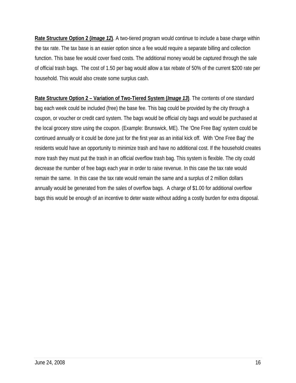**Rate Structure Option 2 (***Image 12***)**. A two-tiered program would continue to include a base charge within the tax rate. The tax base is an easier option since a fee would require a separate billing and collection function. This base fee would cover fixed costs. The additional money would be captured through the sale of official trash bags. The cost of 1.50 per bag would allow a tax rebate of 50% of the current \$200 rate per household. This would also create some surplus cash.

**Rate Structure Option 2 – Variation of Two-Tiered System (***Image 13***)**. The contents of one standard bag each week could be included (free) the base fee. This bag could be provided by the city through a coupon, or voucher or credit card system. The bags would be official city bags and would be purchased at the local grocery store using the coupon. (Example: Brunswick, ME). The 'One Free Bag' system could be continued annually or it could be done just for the first year as an initial kick off. With 'One Free Bag' the residents would have an opportunity to minimize trash and have no additional cost. If the household creates more trash they must put the trash in an official overflow trash bag. This system is flexible. The city could decrease the number of free bags each year in order to raise revenue. In this case the tax rate would remain the same. In this case the tax rate would remain the same and a surplus of 2 million dollars annually would be generated from the sales of overflow bags. A charge of \$1.00 for additional overflow bags this would be enough of an incentive to deter waste without adding a costly burden for extra disposal.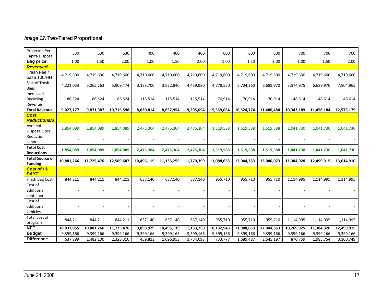# *Image 12***. Two-Tiered Proportional**

| Projected Per<br>Capita Disposal         | 530        | 530        | 530        | 400        | 400        | 400        | 600        | 600        | 600        | 700        | 700        | 700        |
|------------------------------------------|------------|------------|------------|------------|------------|------------|------------|------------|------------|------------|------------|------------|
| <b>Bag price</b>                         | 1.00       | 1.50       | 2.00       | 1.00       | 1.50       | 2.00       | 1.00       | 1.50       | 2.00       | 1.00       | 1.50       | 2.00       |
| <b>Revenue/\$</b>                        |            |            |            |            |            |            |            |            |            |            |            |            |
| Trash Fee /<br>base 100/HH               | 4,719,600  | 4,719,600  | 4,719,600  | 4,719,600  | 4,719,600  | 4,719,600  | 4,719,600  | 4,719,600  | 4,719,600  | 4,719,600  | 4,719,600  | 4,719,600  |
| Sale of Trash<br><b>Bags</b>             | 4,221,053  | 5,065,263  | 5,909,474  | 3,185,700  | 3,822,840  | 4,459,980  | 4,778,550  | 5,734,260  | 6,689,970  | 5,574,975  | 6,689,970  | 7,804,965  |
| Increased<br>Recycling<br>Revenue        | 86,524     | 86,524     | 86,524     | 115,514    | 115,514    | 115,514    | 70,914     | 70,914     | 70,914     | 48,614     | 48,614     | 48,614     |
| <b>Total Revenue</b>                     | 9,027,177  | 9,871,387  | 10,715,598 | 8,020,814  | 8,657,954  | 9,295,094  | 9,569,064  | 10,524,774 | 11,480,484 | 10,343,189 | 11,458,184 | 12,573,179 |
| <b>Cost</b><br><b>Reductions/\$</b>      |            |            |            |            |            |            |            |            |            |            |            |            |
| Avoided<br><b>Disposal Cost</b>          | 1,854,089  | 1,854,089  | 1,854,089  | 2,475,304  | 2,475,304  | 2,475,304  | 1,519,588  | 1,519,588  | 1,519,588  | 1,041,730  | 1,041,730  | 1,041,730  |
| Reduction<br>Labor                       |            |            |            |            |            |            |            |            |            |            |            |            |
| <b>Total Cost</b><br><b>Reductions</b>   | 1,854,089  | 1,854,089  | 1,854,089  | 2,475,304  | 2,475,304  | 2,475,304  | 1,519,588  | 1,519,588  | 1,519,588  | 1,041,730  | 1,041,730  | 1,041,730  |
| <b>Total Source of</b><br><b>Funding</b> | 10,881,266 | 11,725,476 | 12,569,687 | 10,496,119 | 11,133,259 | 11,770,399 | 11,088,653 | 12,044,363 | 13,000,073 | 11,384,920 | 12,499,915 | 13,614,910 |
| Cost of / \$<br><b>PAYT</b>              |            |            |            |            |            |            |            |            |            |            |            |            |
| Trash Bag Cost                           | 844,211    | 844,211    | 844,211    | 637,140    | 637,140    | 637,140    | 955,710    | 955,710    | 955,710    | 1,114,995  | 1,114,995  | 1,114,995  |
| Cost of<br>additional<br>containers      |            |            |            |            |            |            |            |            |            |            |            |            |
| Cost of<br>additional<br>vehicles        |            |            |            |            |            |            |            |            |            |            |            |            |
| Total cost of<br>program                 | 844,211    | 844,211    | 844,211    | 637,140    | 637,140    | 637,140    | 955,710    | 955,710    | 955,710    | 1,114,995  | 1,114,995  | 1,114,995  |
| <b>NET</b>                               | 10,037,055 | 10,881,266 | 11,725,476 | 9,858,979  | 10,496,119 | 11,133,259 | 10,132,943 | 11,088,653 | 12,044,363 | 10,269,925 | 11,384,920 | 12,499,915 |
| <b>Budget</b>                            | 9,399,166  | 9,399,166  | 9,399,166  | 9,399,166  | 9,399,166  | 9,399,166  | 9,399,166  | 9,399,166  | 9,399,166  | 9,399,166  | 9,399,166  | 9,399,166  |
| <b>Difference</b>                        | 637,889    | 1,482,100  | 2,326,310  | 459,813    | 1,096,953  | 1,734,093  | 733,777    | 1,689,487  | 2,645,197  | 870,759    | 1,985,754  | 3,100,749  |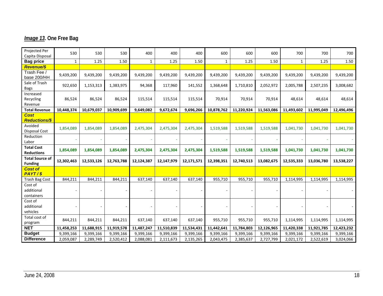# *Image 13***. One Free Bag**

| Projected Per<br>Capita Disposal         | 530        | 530        | 530        | 400          | 400        | 400        | 600        | 600        | 600        | 700          | 700        | 700        |
|------------------------------------------|------------|------------|------------|--------------|------------|------------|------------|------------|------------|--------------|------------|------------|
| <b>Bag price</b>                         | 1          | 1.25       | 1.50       | $\mathbf{1}$ | 1.25       | 1.50       | 1          | 1.25       | 1.50       | $\mathbf{1}$ | 1.25       | 1.50       |
| <b>Revenue/\$</b>                        |            |            |            |              |            |            |            |            |            |              |            |            |
| Trash Fee /<br>base 200/HH               | 9,439,200  | 9,439,200  | 9,439,200  | 9,439,200    | 9,439,200  | 9,439,200  | 9,439,200  | 9,439,200  | 9,439,200  | 9,439,200    | 9,439,200  | 9,439,200  |
| Sale of Trash<br>Bags                    | 922,650    | 1,153,313  | 1,383,975  | 94,368       | 117,960    | 141,552    | 1,368,648  | 1,710,810  | 2,052,972  | 2,005,788    | 2,507,235  | 3,008,682  |
| Increased<br>Recycling<br>Revenue        | 86,524     | 86,524     | 86,524     | 115,514      | 115,514    | 115,514    | 70,914     | 70,914     | 70,914     | 48,614       | 48,614     | 48,614     |
| <b>Total Revenue</b>                     | 10,448,374 | 10,679,037 | 10,909,699 | 9,649,082    | 9,672,674  | 9,696,266  | 10,878,762 | 11,220,924 | 11,563,086 | 11,493,602   | 11,995,049 | 12,496,496 |
| <b>Cost</b><br><b>Reductions/\$</b>      |            |            |            |              |            |            |            |            |            |              |            |            |
| Avoided<br><b>Disposal Cost</b>          | 1,854,089  | 1,854,089  | 1,854,089  | 2,475,304    | 2,475,304  | 2,475,304  | 1,519,588  | 1,519,588  | 1,519,588  | 1,041,730    | 1,041,730  | 1,041,730  |
| Reduction<br>Labor                       |            |            |            |              |            |            |            |            |            |              |            |            |
| <b>Total Cost</b><br><b>Reductions</b>   | 1,854,089  | 1,854,089  | 1,854,089  | 2,475,304    | 2,475,304  | 2,475,304  | 1,519,588  | 1,519,588  | 1,519,588  | 1,041,730    | 1,041,730  | 1,041,730  |
| <b>Total Source of</b><br><b>Funding</b> | 12,302,463 | 12,533,126 | 12,763,788 | 12,124,387   | 12,147,979 | 12,171,571 | 12,398,351 | 12,740,513 | 13,082,675 | 12,535,333   | 13,036,780 | 13,538,227 |
| <b>Cost of</b><br>PAYT/S                 |            |            |            |              |            |            |            |            |            |              |            |            |
| Trash Bag Cost                           | 844,211    | 844,211    | 844,211    | 637,140      | 637,140    | 637,140    | 955,710    | 955,710    | 955,710    | 1,114,995    | 1,114,995  | 1,114,995  |
| Cost of<br>additional<br>containers      |            |            |            |              |            |            |            |            |            |              |            |            |
| Cost of<br>additional<br>vehicles        |            |            |            |              |            |            |            |            |            |              |            |            |
| Total cost of<br>program                 | 844,211    | 844,211    | 844,211    | 637,140      | 637,140    | 637,140    | 955,710    | 955,710    | 955,710    | 1,114,995    | 1,114,995  | 1,114,995  |
| <b>NET</b>                               | 11,458,253 | 11,688,915 | 11,919,578 | 11,487,247   | 11,510,839 | 11,534,431 | 11,442,641 | 11,784,803 | 12,126,965 | 11,420,338   | 11,921,785 | 12,423,232 |
| <b>Budget</b>                            | 9,399,166  | 9,399,166  | 9,399,166  | 9,399,166    | 9,399,166  | 9,399,166  | 9,399,166  | 9,399,166  | 9,399,166  | 9,399,166    | 9,399,166  | 9,399,166  |
| <b>Difference</b>                        | 2,059,087  | 2,289,749  | 2,520,412  | 2,088,081    | 2,111,673  | 2,135,265  | 2,043,475  | 2,385,637  | 2,727,799  | 2,021,172    | 2,522,619  | 3,024,066  |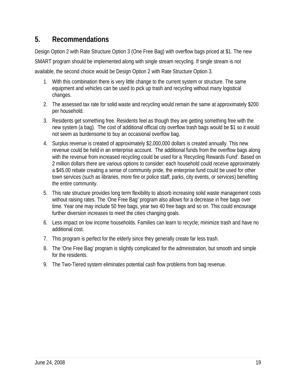# **5. Recommendations**

Design Option 2 with Rate Structure Option 3 (One Free Bag) with overflow bags priced at \$1. The new SMART program should be implemented along with single stream recycling. If single stream is not

available, the second choice would be Design Option 2 with Rate Structure Option 3.

- 1. With this combination there is very little change to the current system or structure. The same equipment and vehicles can be used to pick up trash and recycling without many logistical changes.
- 2. The assessed tax rate for solid waste and recycling would remain the same at approximately \$200 per household.
- 3. Residents get something free. Residents feel as though they are getting something free with the new system (a bag). The cost of additional official city overflow trash bags would be \$1 so it would not seem as burdensome to buy an occasional overflow bag.
- 4. Surplus revenue is created of approximately \$2,000,000 dollars is created annually. This new revenue could be held in an enterprise account. The additional funds from the overflow bags along with the revenue from increased recycling could be used for a 'Recycling Rewards Fund'. Based on 2 million dollars there are various options to consider: each household could receive approximately a \$45.00 rebate creating a sense of community pride, the enterprise fund could be used for other town services (such as libraries, more fire or police staff, parks, city events, or services) benefiting the entire community.
- 5. This rate structure provides long term flexibility to absorb increasing solid waste management costs without raising rates. The 'One Free Bag' program also allows for a decrease in free bags over time. Year one may include 50 free bags, year two 40 free bags and so on. This could encourage further diversion increases to meet the cities changing goals.
- 6. Less impact on low income households. Families can learn to recycle, minimize trash and have no additional cost.
- 7. This program is perfect for the elderly since they generally create far less trash.
- 8. The 'One Free Bag' program is slightly complicated for the administration, but smooth and simple for the residents.
- 9. The Two-Tiered system eliminates potential cash flow problems from bag revenue.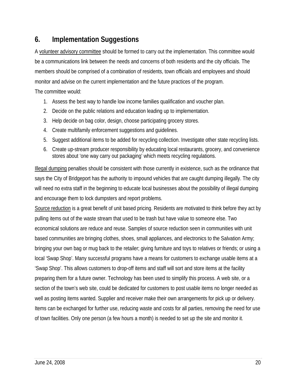# **6. Implementation Suggestions**

A volunteer advisory committee should be formed to carry out the implementation. This committee would be a communications link between the needs and concerns of both residents and the city officials. The members should be comprised of a combination of residents, town officials and employees and should monitor and advise on the current implementation and the future practices of the program.

The committee would:

- 1. Assess the best way to handle low income families qualification and voucher plan.
- 2. Decide on the public relations and education leading up to implementation.
- 3. Help decide on bag color, design, choose participating grocery stores.
- 4. Create multifamily enforcement suggestions and guidelines.
- 5. Suggest additional items to be added for recycling collection. Investigate other state recycling lists.
- 6. Create up-stream producer responsibility by educating local restaurants, grocery, and convenience stores about 'one way carry out packaging' which meets recycling regulations.

Illegal dumping penalties should be consistent with those currently in existence, such as the ordinance that says the City of Bridgeport has the authority to impound vehicles that are caught dumping illegally. The city will need no extra staff in the beginning to educate local businesses about the possibility of illegal dumping and encourage them to lock dumpsters and report problems.

Source reduction is a great benefit of unit based pricing. Residents are motivated to think before they act by pulling items out of the waste stream that used to be trash but have value to someone else. Two economical solutions are reduce and reuse. Samples of source reduction seen in communities with unit based communities are bringing clothes, shoes, small appliances, and electronics to the Salvation Army; bringing your own bag or mug back to the retailer; giving furniture and toys to relatives or friends; or using a local 'Swap Shop'. Many successful programs have a means for customers to exchange usable items at a 'Swap Shop'. This allows customers to drop-off items and staff will sort and store items at the facility preparing them for a future owner. Technology has been used to simplify this process. A web site, or a section of the town's web site, could be dedicated for customers to post usable items no longer needed as well as posting items wanted. Supplier and receiver make their own arrangements for pick up or delivery. Items can be exchanged for further use, reducing waste and costs for all parties, removing the need for use of town facilities. Only one person (a few hours a month) is needed to set up the site and monitor it.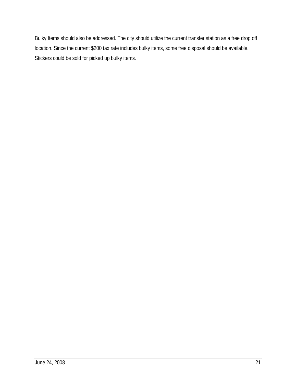Bulky Items should also be addressed. The city should utilize the current transfer station as a free drop off location. Since the current \$200 tax rate includes bulky items, some free disposal should be available. Stickers could be sold for picked up bulky items.